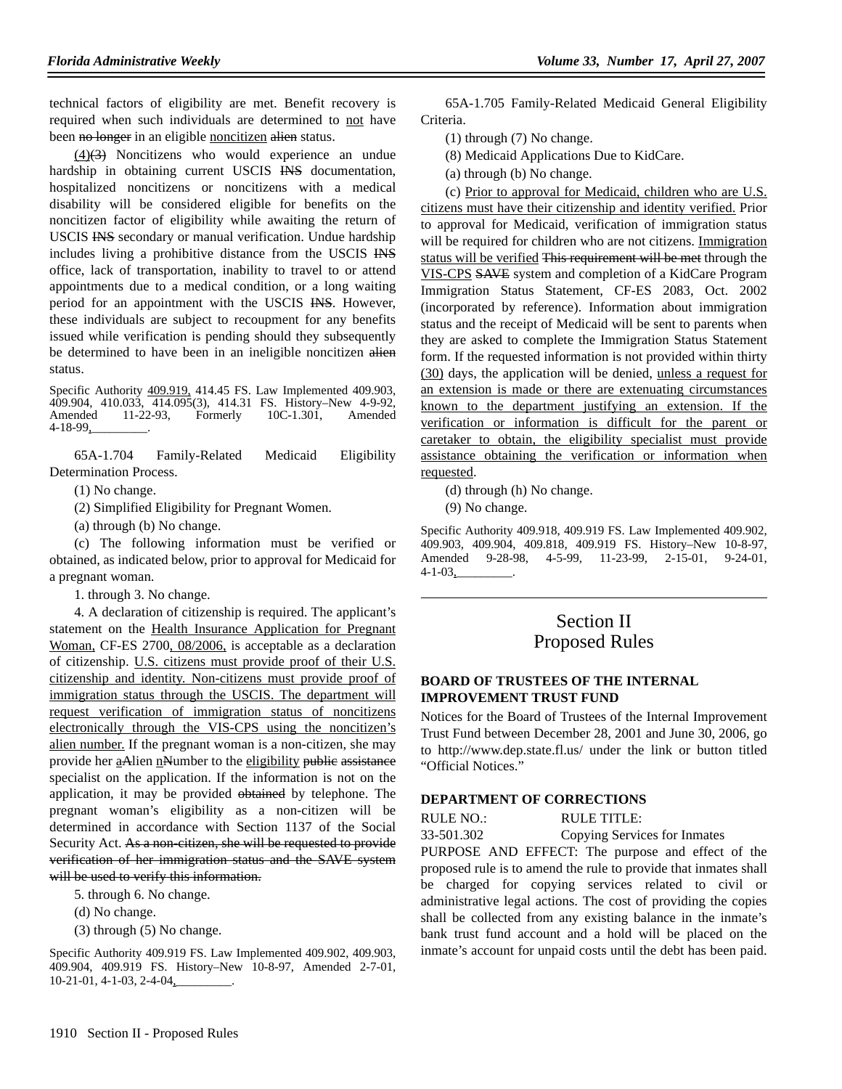technical factors of eligibility are met. Benefit recovery is required when such individuals are determined to not have been no longer in an eligible noncitizen alien status.

(4)(3) Noncitizens who would experience an undue hardship in obtaining current USCIS INS documentation, hospitalized noncitizens or noncitizens with a medical disability will be considered eligible for benefits on the noncitizen factor of eligibility while awaiting the return of USCIS INS secondary or manual verification. Undue hardship includes living a prohibitive distance from the USCIS INS office, lack of transportation, inability to travel to or attend appointments due to a medical condition, or a long waiting period for an appointment with the USCIS INS. However, these individuals are subject to recoupment for any benefits issued while verification is pending should they subsequently be determined to have been in an ineligible noncitizen alien status.

Specific Authority 409.919, 414.45 FS. Law Implemented 409.903, 409.904, 410.033, 414.095(3), 414.31 FS. History–New 4-9-92, Amended 11-22-93, Formerly 10C-1.301, Amended 4-18-99,\_\_\_\_\_\_\_\_\_.

65A-1.704 Family-Related Medicaid Eligibility Determination Process.

(1) No change.

(2) Simplified Eligibility for Pregnant Women.

(a) through (b) No change.

(c) The following information must be verified or obtained, as indicated below, prior to approval for Medicaid for a pregnant woman.

1. through 3. No change.

4. A declaration of citizenship is required. The applicant's statement on the Health Insurance Application for Pregnant Woman, CF-ES 2700, 08/2006, is acceptable as a declaration of citizenship. U.S. citizens must provide proof of their U.S. citizenship and identity. Non-citizens must provide proof of immigration status through the USCIS. The department will request verification of immigration status of noncitizens electronically through the VIS-CPS using the noncitizen's alien number. If the pregnant woman is a non-citizen, she may provide her aAlien nNumber to the eligibility public assistance specialist on the application. If the information is not on the application, it may be provided obtained by telephone. The pregnant woman's eligibility as a non-citizen will be determined in accordance with Section 1137 of the Social Security Act. As a non-citizen, she will be requested to provide verification of her immigration status and the SAVE system will be used to verify this information.

5. through 6. No change.

- (d) No change.
- (3) through (5) No change.

Specific Authority 409.919 FS. Law Implemented 409.902, 409.903, 409.904, 409.919 FS. History–New 10-8-97, Amended 2-7-01, 10-21-01, 4-1-03, 2-4-04,

65A-1.705 Family-Related Medicaid General Eligibility Criteria.

(1) through (7) No change.

(8) Medicaid Applications Due to KidCare.

(a) through (b) No change.

(c) Prior to approval for Medicaid, children who are U.S. citizens must have their citizenship and identity verified. Prior to approval for Medicaid, verification of immigration status will be required for children who are not citizens. Immigration status will be verified This requirement will be met through the VIS-CPS SAVE system and completion of a KidCare Program Immigration Status Statement, CF-ES 2083, Oct. 2002 (incorporated by reference). Information about immigration status and the receipt of Medicaid will be sent to parents when they are asked to complete the Immigration Status Statement form. If the requested information is not provided within thirty (30) days, the application will be denied, unless a request for an extension is made or there are extenuating circumstances known to the department justifying an extension. If the verification or information is difficult for the parent or caretaker to obtain, the eligibility specialist must provide assistance obtaining the verification or information when requested.

(d) through (h) No change.

(9) No change.

Specific Authority 409.918, 409.919 FS. Law Implemented 409.902, 409.903, 409.904, 409.818, 409.919 FS. History–New 10-8-97, Amended 9-28-98, 4-5-99, 11-23-99, 2-15-01, 9-24-01,  $4 - 1 - 03$ ,

# Section II Proposed Rules

## **BOARD OF TRUSTEES OF THE INTERNAL IMPROVEMENT TRUST FUND**

Notices for the Board of Trustees of the Internal Improvement Trust Fund between December 28, 2001 and June 30, 2006, go to http://www.dep.state.fl.us/ under the link or button titled "Official Notices."

#### **DEPARTMENT OF CORRECTIONS**

RULE NO.: RULE TITLE:

33-501.302 Copying Services for Inmates

PURPOSE AND EFFECT: The purpose and effect of the proposed rule is to amend the rule to provide that inmates shall be charged for copying services related to civil or administrative legal actions. The cost of providing the copies shall be collected from any existing balance in the inmate's bank trust fund account and a hold will be placed on the inmate's account for unpaid costs until the debt has been paid.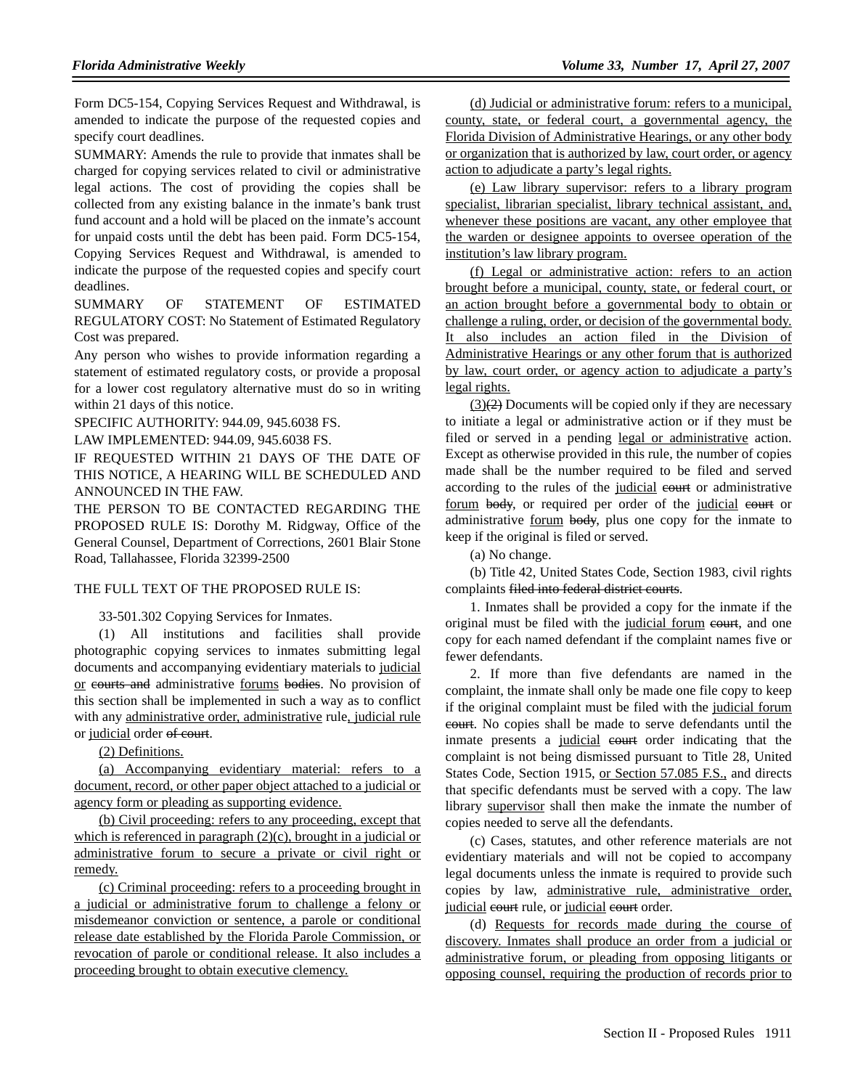Form DC5-154, Copying Services Request and Withdrawal, is amended to indicate the purpose of the requested copies and specify court deadlines.

SUMMARY: Amends the rule to provide that inmates shall be charged for copying services related to civil or administrative legal actions. The cost of providing the copies shall be collected from any existing balance in the inmate's bank trust fund account and a hold will be placed on the inmate's account for unpaid costs until the debt has been paid. Form DC5-154, Copying Services Request and Withdrawal, is amended to indicate the purpose of the requested copies and specify court deadlines.

SUMMARY OF STATEMENT OF ESTIMATED REGULATORY COST: No Statement of Estimated Regulatory Cost was prepared.

Any person who wishes to provide information regarding a statement of estimated regulatory costs, or provide a proposal for a lower cost regulatory alternative must do so in writing within 21 days of this notice.

SPECIFIC AUTHORITY: 944.09, 945.6038 FS.

LAW IMPLEMENTED: 944.09, 945.6038 FS.

IF REQUESTED WITHIN 21 DAYS OF THE DATE OF THIS NOTICE, A HEARING WILL BE SCHEDULED AND ANNOUNCED IN THE FAW.

THE PERSON TO BE CONTACTED REGARDING THE PROPOSED RULE IS: Dorothy M. Ridgway, Office of the General Counsel, Department of Corrections, 2601 Blair Stone Road, Tallahassee, Florida 32399-2500

### THE FULL TEXT OF THE PROPOSED RULE IS:

33-501.302 Copying Services for Inmates.

(1) All institutions and facilities shall provide photographic copying services to inmates submitting legal documents and accompanying evidentiary materials to judicial or eourts and administrative forums bodies. No provision of this section shall be implemented in such a way as to conflict with any administrative order, administrative rule, judicial rule or judicial order of court.

(2) Definitions.

(a) Accompanying evidentiary material: refers to a document, record, or other paper object attached to a judicial or agency form or pleading as supporting evidence.

(b) Civil proceeding: refers to any proceeding, except that which is referenced in paragraph (2)(c), brought in a judicial or administrative forum to secure a private or civil right or remedy.

(c) Criminal proceeding: refers to a proceeding brought in a judicial or administrative forum to challenge a felony or misdemeanor conviction or sentence, a parole or conditional release date established by the Florida Parole Commission, or revocation of parole or conditional release. It also includes a proceeding brought to obtain executive clemency.

(d) Judicial or administrative forum: refers to a municipal, county, state, or federal court, a governmental agency, the Florida Division of Administrative Hearings, or any other body or organization that is authorized by law, court order, or agency action to adjudicate a party's legal rights.

(e) Law library supervisor: refers to a library program specialist, librarian specialist, library technical assistant, and, whenever these positions are vacant, any other employee that the warden or designee appoints to oversee operation of the institution's law library program.

(f) Legal or administrative action: refers to an action brought before a municipal, county, state, or federal court, or an action brought before a governmental body to obtain or challenge a ruling, order, or decision of the governmental body. It also includes an action filed in the Division of Administrative Hearings or any other forum that is authorized by law, court order, or agency action to adjudicate a party's legal rights.

 $(3)(2)$  Documents will be copied only if they are necessary to initiate a legal or administrative action or if they must be filed or served in a pending legal or administrative action. Except as otherwise provided in this rule, the number of copies made shall be the number required to be filed and served according to the rules of the judicial eourt or administrative forum body, or required per order of the judicial court or administrative forum body, plus one copy for the inmate to keep if the original is filed or served.

(a) No change.

(b) Title 42, United States Code, Section 1983, civil rights complaints filed into federal district courts.

1. Inmates shall be provided a copy for the inmate if the original must be filed with the judicial forum eourt, and one copy for each named defendant if the complaint names five or fewer defendants.

2. If more than five defendants are named in the complaint, the inmate shall only be made one file copy to keep if the original complaint must be filed with the judicial forum court. No copies shall be made to serve defendants until the inmate presents a judicial eourt order indicating that the complaint is not being dismissed pursuant to Title 28, United States Code, Section 1915, or Section 57.085 F.S., and directs that specific defendants must be served with a copy. The law library supervisor shall then make the inmate the number of copies needed to serve all the defendants.

(c) Cases, statutes, and other reference materials are not evidentiary materials and will not be copied to accompany legal documents unless the inmate is required to provide such copies by law, administrative rule, administrative order, judicial eourt rule, or judicial eourt order.

(d) Requests for records made during the course of discovery. Inmates shall produce an order from a judicial or administrative forum, or pleading from opposing litigants or opposing counsel, requiring the production of records prior to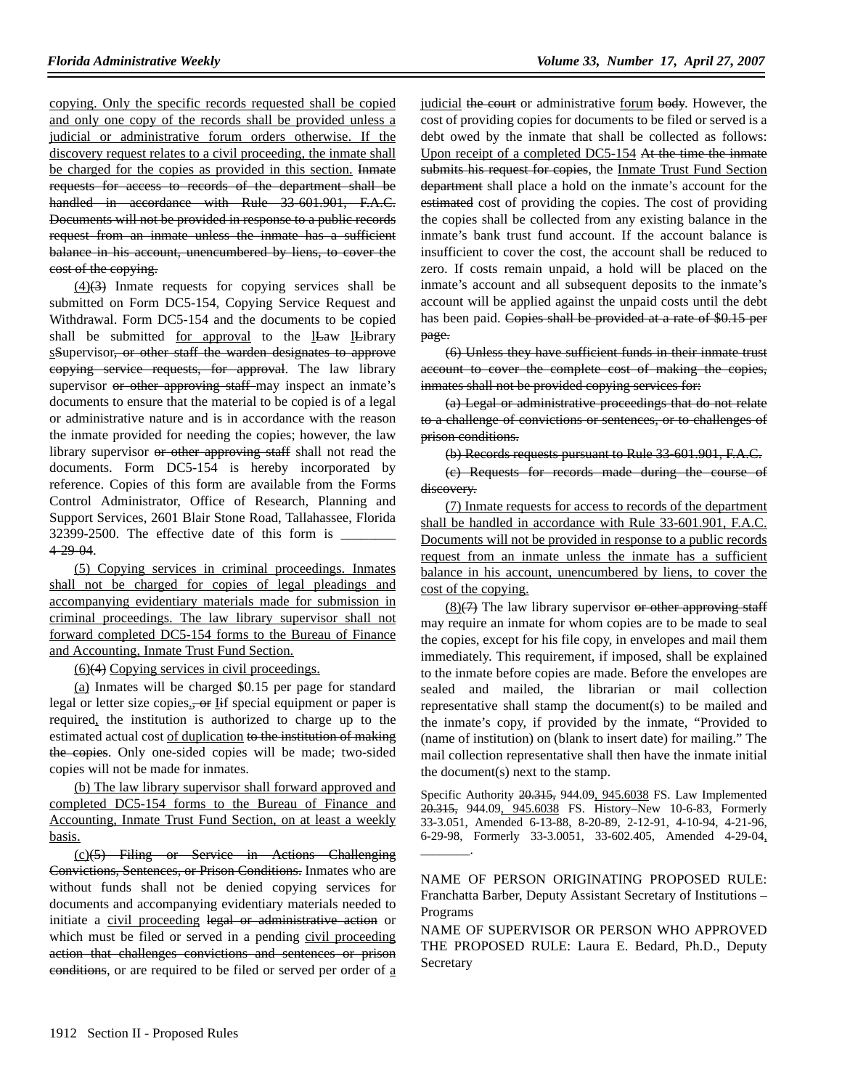copying. Only the specific records requested shall be copied and only one copy of the records shall be provided unless a judicial or administrative forum orders otherwise. If the discovery request relates to a civil proceeding, the inmate shall be charged for the copies as provided in this section. Inmate requests for access to records of the department shall be handled in accordance with Rule 33-601.901, F.A.C. Documents will not be provided in response to a public records request from an inmate unless the inmate has a sufficient balance in his account, unencumbered by liens, to cover the cost of the copying.

 $(4)(3)$  Inmate requests for copying services shall be submitted on Form DC5-154, Copying Service Request and Withdrawal. Form DC5-154 and the documents to be copied shall be submitted for approval to the lLaw lLibrary sSupervisor, or other staff the warden designates to approve copying service requests, for approval. The law library supervisor or other approving staff may inspect an inmate's documents to ensure that the material to be copied is of a legal or administrative nature and is in accordance with the reason the inmate provided for needing the copies; however, the law library supervisor or other approving staff shall not read the documents. Form DC5-154 is hereby incorporated by reference. Copies of this form are available from the Forms Control Administrator, Office of Research, Planning and Support Services, 2601 Blair Stone Road, Tallahassee, Florida 32399-2500. The effective date of this form is  $\overline{\phantom{a}}$ 4-29-04.

(5) Copying services in criminal proceedings. Inmates shall not be charged for copies of legal pleadings and accompanying evidentiary materials made for submission in criminal proceedings. The law library supervisor shall not forward completed DC5-154 forms to the Bureau of Finance and Accounting, Inmate Trust Fund Section.

(6)(4) Copying services in civil proceedings.

(a) Inmates will be charged \$0.15 per page for standard legal or letter size copies., or **I**if special equipment or paper is required, the institution is authorized to charge up to the estimated actual cost of duplication to the institution of making the copies. Only one-sided copies will be made; two-sided copies will not be made for inmates.

(b) The law library supervisor shall forward approved and completed DC5-154 forms to the Bureau of Finance and Accounting, Inmate Trust Fund Section, on at least a weekly basis.

(c)(5) Filing or Service in Actions Challenging Convictions, Sentences, or Prison Conditions. Inmates who are without funds shall not be denied copying services for documents and accompanying evidentiary materials needed to initiate a civil proceeding legal or administrative action or which must be filed or served in a pending civil proceeding action that challenges convictions and sentences or prison conditions, or are required to be filed or served per order of a judicial the court or administrative forum body. However, the cost of providing copies for documents to be filed or served is a debt owed by the inmate that shall be collected as follows: Upon receipt of a completed DC5-154 At the time the inmate submits his request for copies, the Inmate Trust Fund Section department shall place a hold on the inmate's account for the estimated cost of providing the copies. The cost of providing the copies shall be collected from any existing balance in the inmate's bank trust fund account. If the account balance is insufficient to cover the cost, the account shall be reduced to zero. If costs remain unpaid, a hold will be placed on the inmate's account and all subsequent deposits to the inmate's account will be applied against the unpaid costs until the debt has been paid. Copies shall be provided at a rate of \$0.15 per page.

(6) Unless they have sufficient funds in their inmate trust account to cover the complete cost of making the copies, inmates shall not be provided copying services for:

(a) Legal or administrative proceedings that do not relate to a challenge of convictions or sentences, or to challenges of prison conditions.

(b) Records requests pursuant to Rule 33-601.901, F.A.C.

(c) Requests for records made during the course of discovery.

(7) Inmate requests for access to records of the department shall be handled in accordance with Rule 33-601.901, F.A.C. Documents will not be provided in response to a public records request from an inmate unless the inmate has a sufficient balance in his account, unencumbered by liens, to cover the cost of the copying.

 $(8)$ (7) The law library supervisor or other approving staff may require an inmate for whom copies are to be made to seal the copies, except for his file copy, in envelopes and mail them immediately. This requirement, if imposed, shall be explained to the inmate before copies are made. Before the envelopes are sealed and mailed, the librarian or mail collection representative shall stamp the document(s) to be mailed and the inmate's copy, if provided by the inmate, "Provided to (name of institution) on (blank to insert date) for mailing." The mail collection representative shall then have the inmate initial the document(s) next to the stamp.

Specific Authority 20.315, 944.09, 945.6038 FS. Law Implemented 20.315, 944.09, 945.6038 FS. History-New 10-6-83, Formerly 33-3.051, Amended 6-13-88, 8-20-89, 2-12-91, 4-10-94, 4-21-96, 6-29-98, Formerly 33-3.0051, 33-602.405, Amended 4-29-04, \_\_\_\_\_\_\_\_.

NAME OF PERSON ORIGINATING PROPOSED RULE: Franchatta Barber, Deputy Assistant Secretary of Institutions – Programs

NAME OF SUPERVISOR OR PERSON WHO APPROVED THE PROPOSED RULE: Laura E. Bedard, Ph.D., Deputy Secretary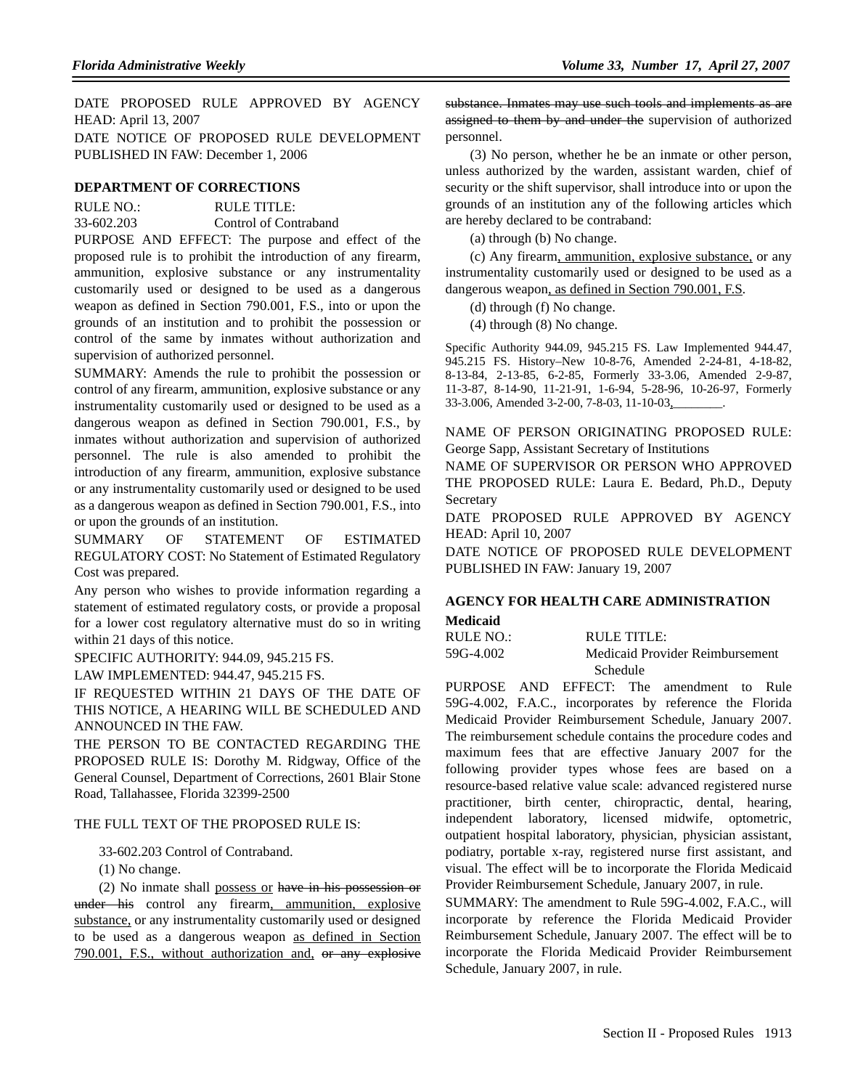DATE PROPOSED RULE APPROVED BY AGENCY HEAD: April 13, 2007

DATE NOTICE OF PROPOSED RULE DEVELOPMENT PUBLISHED IN FAW: December 1, 2006

## **DEPARTMENT OF CORRECTIONS**

RULE NO.: RULE TITLE:

33-602.203 Control of Contraband

PURPOSE AND EFFECT: The purpose and effect of the proposed rule is to prohibit the introduction of any firearm, ammunition, explosive substance or any instrumentality customarily used or designed to be used as a dangerous weapon as defined in Section 790.001, F.S., into or upon the grounds of an institution and to prohibit the possession or control of the same by inmates without authorization and supervision of authorized personnel.

SUMMARY: Amends the rule to prohibit the possession or control of any firearm, ammunition, explosive substance or any instrumentality customarily used or designed to be used as a dangerous weapon as defined in Section 790.001, F.S., by inmates without authorization and supervision of authorized personnel. The rule is also amended to prohibit the introduction of any firearm, ammunition, explosive substance or any instrumentality customarily used or designed to be used as a dangerous weapon as defined in Section 790.001, F.S., into or upon the grounds of an institution.

SUMMARY OF STATEMENT OF ESTIMATED REGULATORY COST: No Statement of Estimated Regulatory Cost was prepared.

Any person who wishes to provide information regarding a statement of estimated regulatory costs, or provide a proposal for a lower cost regulatory alternative must do so in writing within 21 days of this notice.

SPECIFIC AUTHORITY: 944.09, 945.215 FS.

LAW IMPLEMENTED: 944.47, 945.215 FS.

IF REQUESTED WITHIN 21 DAYS OF THE DATE OF THIS NOTICE, A HEARING WILL BE SCHEDULED AND ANNOUNCED IN THE FAW.

THE PERSON TO BE CONTACTED REGARDING THE PROPOSED RULE IS: Dorothy M. Ridgway, Office of the General Counsel, Department of Corrections, 2601 Blair Stone Road, Tallahassee, Florida 32399-2500

#### THE FULL TEXT OF THE PROPOSED RULE IS:

33-602.203 Control of Contraband.

(1) No change.

(2) No inmate shall possess or have in his possession or under his control any firearm, ammunition, explosive substance, or any instrumentality customarily used or designed to be used as a dangerous weapon as defined in Section 790.001, F.S., without authorization and, or any explosive

substance. Inmates may use such tools and implements as are assigned to them by and under the supervision of authorized personnel.

(3) No person, whether he be an inmate or other person, unless authorized by the warden, assistant warden, chief of security or the shift supervisor, shall introduce into or upon the grounds of an institution any of the following articles which are hereby declared to be contraband:

(a) through (b) No change.

(c) Any firearm, ammunition, explosive substance, or any instrumentality customarily used or designed to be used as a dangerous weapon, as defined in Section 790.001, F.S.

(d) through (f) No change.

(4) through (8) No change.

Specific Authority 944.09, 945.215 FS. Law Implemented 944.47, 945.215 FS. History–New 10-8-76, Amended 2-24-81, 4-18-82, 8-13-84, 2-13-85, 6-2-85, Formerly 33-3.06, Amended 2-9-87, 11-3-87, 8-14-90, 11-21-91, 1-6-94, 5-28-96, 10-26-97, Formerly 33-3.006, Amended 3-2-00, 7-8-03, 11-10-03,

NAME OF PERSON ORIGINATING PROPOSED RULE: George Sapp, Assistant Secretary of Institutions

NAME OF SUPERVISOR OR PERSON WHO APPROVED THE PROPOSED RULE: Laura E. Bedard, Ph.D., Deputy Secretary

DATE PROPOSED RULE APPROVED BY AGENCY HEAD: April 10, 2007

DATE NOTICE OF PROPOSED RULE DEVELOPMENT PUBLISHED IN FAW: January 19, 2007

## **AGENCY FOR HEALTH CARE ADMINISTRATION Medicaid**

| RULE NO.: | RULE TITLE:                     |
|-----------|---------------------------------|
| 59G-4.002 | Medicaid Provider Reimbursement |
|           | Schedule                        |

PURPOSE AND EFFECT: The amendment to Rule 59G-4.002, F.A.C., incorporates by reference the Florida Medicaid Provider Reimbursement Schedule, January 2007. The reimbursement schedule contains the procedure codes and maximum fees that are effective January 2007 for the following provider types whose fees are based on a resource-based relative value scale: advanced registered nurse practitioner, birth center, chiropractic, dental, hearing, independent laboratory, licensed midwife, optometric, outpatient hospital laboratory, physician, physician assistant, podiatry, portable x-ray, registered nurse first assistant, and visual. The effect will be to incorporate the Florida Medicaid Provider Reimbursement Schedule, January 2007, in rule.

SUMMARY: The amendment to Rule 59G-4.002, F.A.C., will incorporate by reference the Florida Medicaid Provider Reimbursement Schedule, January 2007. The effect will be to incorporate the Florida Medicaid Provider Reimbursement Schedule, January 2007, in rule.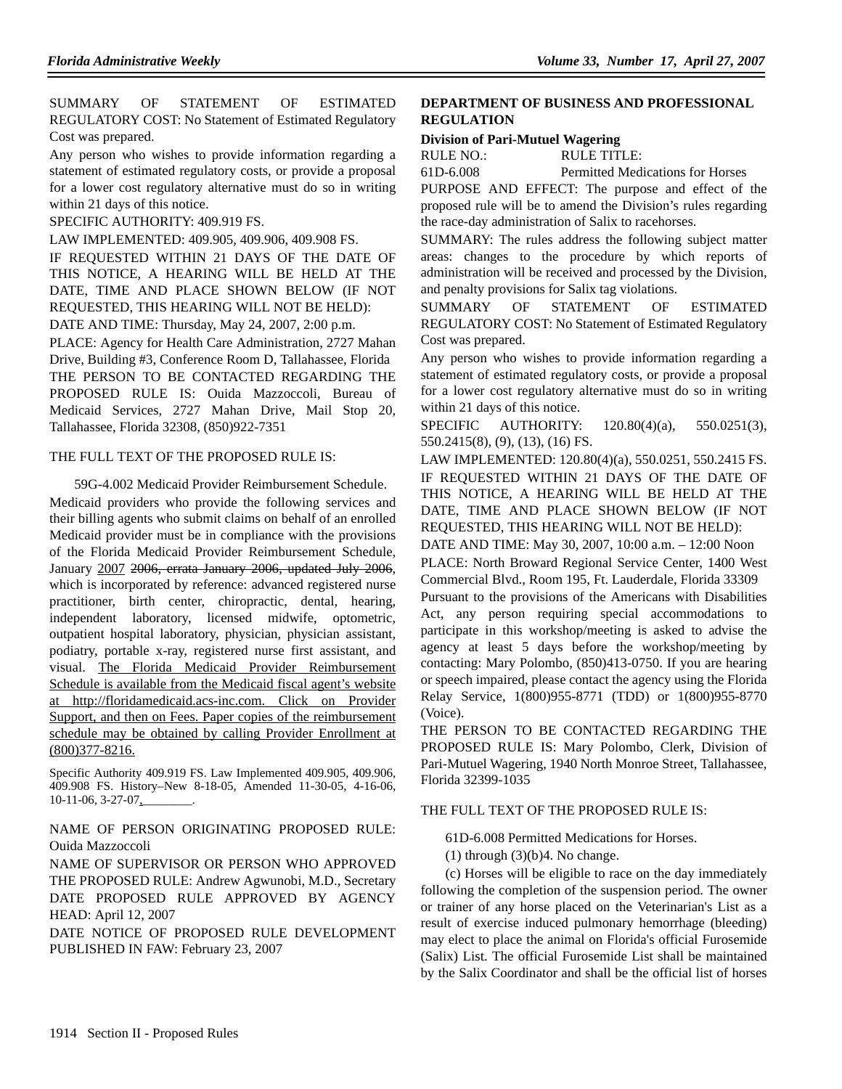SUMMARY OF STATEMENT OF ESTIMATED REGULATORY COST: No Statement of Estimated Regulatory Cost was prepared.

Any person who wishes to provide information regarding a statement of estimated regulatory costs, or provide a proposal for a lower cost regulatory alternative must do so in writing within 21 days of this notice.

SPECIFIC AUTHORITY: 409.919 FS.

LAW IMPLEMENTED: 409.905, 409.906, 409.908 FS.

IF REQUESTED WITHIN 21 DAYS OF THE DATE OF THIS NOTICE, A HEARING WILL BE HELD AT THE DATE, TIME AND PLACE SHOWN BELOW (IF NOT REQUESTED, THIS HEARING WILL NOT BE HELD):

DATE AND TIME: Thursday, May 24, 2007, 2:00 p.m.

PLACE: Agency for Health Care Administration, 2727 Mahan Drive, Building #3, Conference Room D, Tallahassee, Florida THE PERSON TO BE CONTACTED REGARDING THE PROPOSED RULE IS: Ouida Mazzoccoli, Bureau of Medicaid Services, 2727 Mahan Drive, Mail Stop 20, Tallahassee, Florida 32308, (850)922-7351

#### THE FULL TEXT OF THE PROPOSED RULE IS:

59G-4.002 Medicaid Provider Reimbursement Schedule. Medicaid providers who provide the following services and their billing agents who submit claims on behalf of an enrolled Medicaid provider must be in compliance with the provisions of the Florida Medicaid Provider Reimbursement Schedule, January 2007 2006, errata January 2006, updated July 2006, which is incorporated by reference: advanced registered nurse practitioner, birth center, chiropractic, dental, hearing, independent laboratory, licensed midwife, optometric, outpatient hospital laboratory, physician, physician assistant, podiatry, portable x-ray, registered nurse first assistant, and visual. The Florida Medicaid Provider Reimbursement Schedule is available from the Medicaid fiscal agent's website at http://floridamedicaid.acs-inc.com. Click on Provider Support, and then on Fees. Paper copies of the reimbursement schedule may be obtained by calling Provider Enrollment at (800)377-8216.

Specific Authority 409.919 FS. Law Implemented 409.905, 409.906, 409.908 FS. History–New 8-18-05, Amended 11-30-05, 4-16-06, 10-11-06, 3-27-07,

NAME OF PERSON ORIGINATING PROPOSED RULE: Ouida Mazzoccoli

NAME OF SUPERVISOR OR PERSON WHO APPROVED THE PROPOSED RULE: Andrew Agwunobi, M.D., Secretary DATE PROPOSED RULE APPROVED BY AGENCY HEAD: April 12, 2007

DATE NOTICE OF PROPOSED RULE DEVELOPMENT PUBLISHED IN FAW: February 23, 2007

#### **DEPARTMENT OF BUSINESS AND PROFESSIONAL REGULATION**

#### **Division of Pari-Mutuel Wagering**

RULE NO.: RULE TITLE:

61D-6.008 Permitted Medications for Horses

PURPOSE AND EFFECT: The purpose and effect of the proposed rule will be to amend the Division's rules regarding the race-day administration of Salix to racehorses.

SUMMARY: The rules address the following subject matter areas: changes to the procedure by which reports of administration will be received and processed by the Division, and penalty provisions for Salix tag violations.

SUMMARY OF STATEMENT OF ESTIMATED REGULATORY COST: No Statement of Estimated Regulatory Cost was prepared.

Any person who wishes to provide information regarding a statement of estimated regulatory costs, or provide a proposal for a lower cost regulatory alternative must do so in writing within 21 days of this notice.

SPECIFIC AUTHORITY: 120.80(4)(a), 550.0251(3), 550.2415(8), (9), (13), (16) FS.

LAW IMPLEMENTED: 120.80(4)(a), 550.0251, 550.2415 FS. IF REQUESTED WITHIN 21 DAYS OF THE DATE OF THIS NOTICE, A HEARING WILL BE HELD AT THE DATE, TIME AND PLACE SHOWN BELOW (IF NOT REQUESTED, THIS HEARING WILL NOT BE HELD):

DATE AND TIME: May 30, 2007, 10:00 a.m. – 12:00 Noon PLACE: North Broward Regional Service Center, 1400 West Commercial Blvd., Room 195, Ft. Lauderdale, Florida 33309

Pursuant to the provisions of the Americans with Disabilities Act, any person requiring special accommodations to participate in this workshop/meeting is asked to advise the agency at least 5 days before the workshop/meeting by contacting: Mary Polombo, (850)413-0750. If you are hearing or speech impaired, please contact the agency using the Florida Relay Service, 1(800)955-8771 (TDD) or 1(800)955-8770 (Voice).

THE PERSON TO BE CONTACTED REGARDING THE PROPOSED RULE IS: Mary Polombo, Clerk, Division of Pari-Mutuel Wagering, 1940 North Monroe Street, Tallahassee, Florida 32399-1035

### THE FULL TEXT OF THE PROPOSED RULE IS:

61D-6.008 Permitted Medications for Horses.

 $(1)$  through  $(3)(b)4$ . No change.

(c) Horses will be eligible to race on the day immediately following the completion of the suspension period. The owner or trainer of any horse placed on the Veterinarian's List as a result of exercise induced pulmonary hemorrhage (bleeding) may elect to place the animal on Florida's official Furosemide (Salix) List. The official Furosemide List shall be maintained by the Salix Coordinator and shall be the official list of horses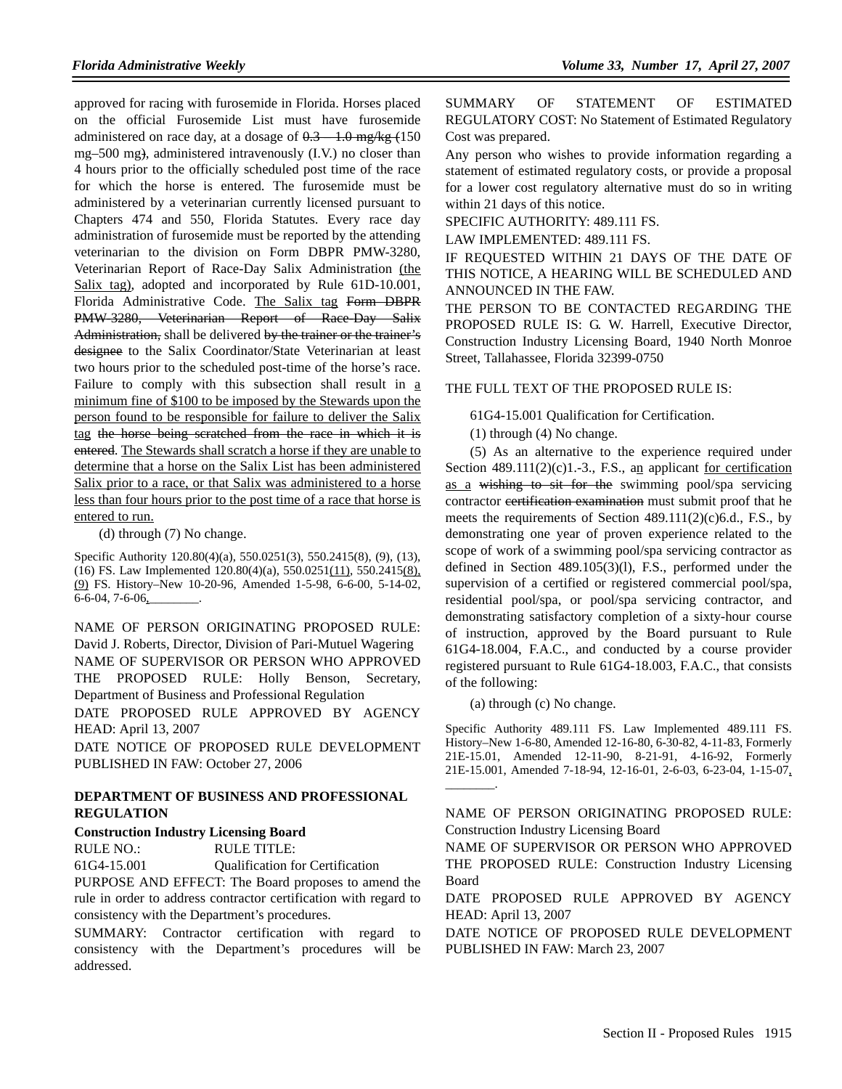approved for racing with furosemide in Florida. Horses placed on the official Furosemide List must have furosemide administered on race day, at a dosage of  $0.3 - 1.0$  mg/kg  $(150)$ mg–500 mg), administered intravenously (I.V.) no closer than 4 hours prior to the officially scheduled post time of the race for which the horse is entered. The furosemide must be administered by a veterinarian currently licensed pursuant to Chapters 474 and 550, Florida Statutes. Every race day administration of furosemide must be reported by the attending veterinarian to the division on Form DBPR PMW-3280, Veterinarian Report of Race-Day Salix Administration (the Salix tag), adopted and incorporated by Rule 61D-10.001, Florida Administrative Code. The Salix tag Form DBPR PMW-3280, Veterinarian Report of Race-Day Salix Administration, shall be delivered by the trainer or the trainer's designee to the Salix Coordinator/State Veterinarian at least two hours prior to the scheduled post-time of the horse's race. Failure to comply with this subsection shall result in a minimum fine of \$100 to be imposed by the Stewards upon the person found to be responsible for failure to deliver the Salix tag the horse being scratched from the race in which it is entered. The Stewards shall scratch a horse if they are unable to determine that a horse on the Salix List has been administered Salix prior to a race, or that Salix was administered to a horse less than four hours prior to the post time of a race that horse is entered to run.

(d) through (7) No change.

Specific Authority 120.80(4)(a), 550.0251(3), 550.2415(8), (9), (13), (16) FS. Law Implemented 120.80(4)(a), 550.0251(11), 550.2415(8), (9) FS. History–New 10-20-96, Amended 1-5-98, 6-6-00, 5-14-02, 6-6-04, 7-6-06,

NAME OF PERSON ORIGINATING PROPOSED RULE: David J. Roberts, Director, Division of Pari-Mutuel Wagering NAME OF SUPERVISOR OR PERSON WHO APPROVED THE PROPOSED RULE: Holly Benson, Secretary, Department of Business and Professional Regulation

DATE PROPOSED RULE APPROVED BY AGENCY HEAD: April 13, 2007

DATE NOTICE OF PROPOSED RULE DEVELOPMENT PUBLISHED IN FAW: October 27, 2006

## **DEPARTMENT OF BUSINESS AND PROFESSIONAL REGULATION**

#### **Construction Industry Licensing Board**

| RULE NO.: | <b>RULE TITLE:</b> |
|-----------|--------------------|
|           |                    |

61G4-15.001 Qualification for Certification

PURPOSE AND EFFECT: The Board proposes to amend the rule in order to address contractor certification with regard to consistency with the Department's procedures.

SUMMARY: Contractor certification with regard to consistency with the Department's procedures will be addressed.

SUMMARY OF STATEMENT OF ESTIMATED REGULATORY COST: No Statement of Estimated Regulatory Cost was prepared.

Any person who wishes to provide information regarding a statement of estimated regulatory costs, or provide a proposal for a lower cost regulatory alternative must do so in writing within 21 days of this notice.

SPECIFIC AUTHORITY: 489.111 FS.

LAW IMPLEMENTED: 489.111 FS.

IF REQUESTED WITHIN 21 DAYS OF THE DATE OF THIS NOTICE, A HEARING WILL BE SCHEDULED AND ANNOUNCED IN THE FAW.

THE PERSON TO BE CONTACTED REGARDING THE PROPOSED RULE IS: G. W. Harrell, Executive Director, Construction Industry Licensing Board, 1940 North Monroe Street, Tallahassee, Florida 32399-0750

THE FULL TEXT OF THE PROPOSED RULE IS:

61G4-15.001 Qualification for Certification.

(1) through (4) No change.

(5) As an alternative to the experience required under Section  $489.111(2)(c)1.-3., F.S.,$  an applicant for certification as a wishing to sit for the swimming pool/spa servicing contractor certification examination must submit proof that he meets the requirements of Section 489.111(2)(c)6.d., F.S., by demonstrating one year of proven experience related to the scope of work of a swimming pool/spa servicing contractor as defined in Section 489.105(3)(l), F.S., performed under the supervision of a certified or registered commercial pool/spa, residential pool/spa, or pool/spa servicing contractor, and demonstrating satisfactory completion of a sixty-hour course of instruction, approved by the Board pursuant to Rule 61G4-18.004, F.A.C., and conducted by a course provider registered pursuant to Rule 61G4-18.003, F.A.C., that consists of the following:

(a) through (c) No change.

Specific Authority 489.111 FS. Law Implemented 489.111 FS. History–New 1-6-80, Amended 12-16-80, 6-30-82, 4-11-83, Formerly 21E-15.01, Amended 12-11-90, 8-21-91, 4-16-92, Formerly 21E-15.001, Amended 7-18-94, 12-16-01, 2-6-03, 6-23-04, 1-15-07, \_\_\_\_\_\_\_\_.

NAME OF PERSON ORIGINATING PROPOSED RULE: Construction Industry Licensing Board

NAME OF SUPERVISOR OR PERSON WHO APPROVED THE PROPOSED RULE: Construction Industry Licensing Board

DATE PROPOSED RULE APPROVED BY AGENCY HEAD: April 13, 2007

DATE NOTICE OF PROPOSED RULE DEVELOPMENT PUBLISHED IN FAW: March 23, 2007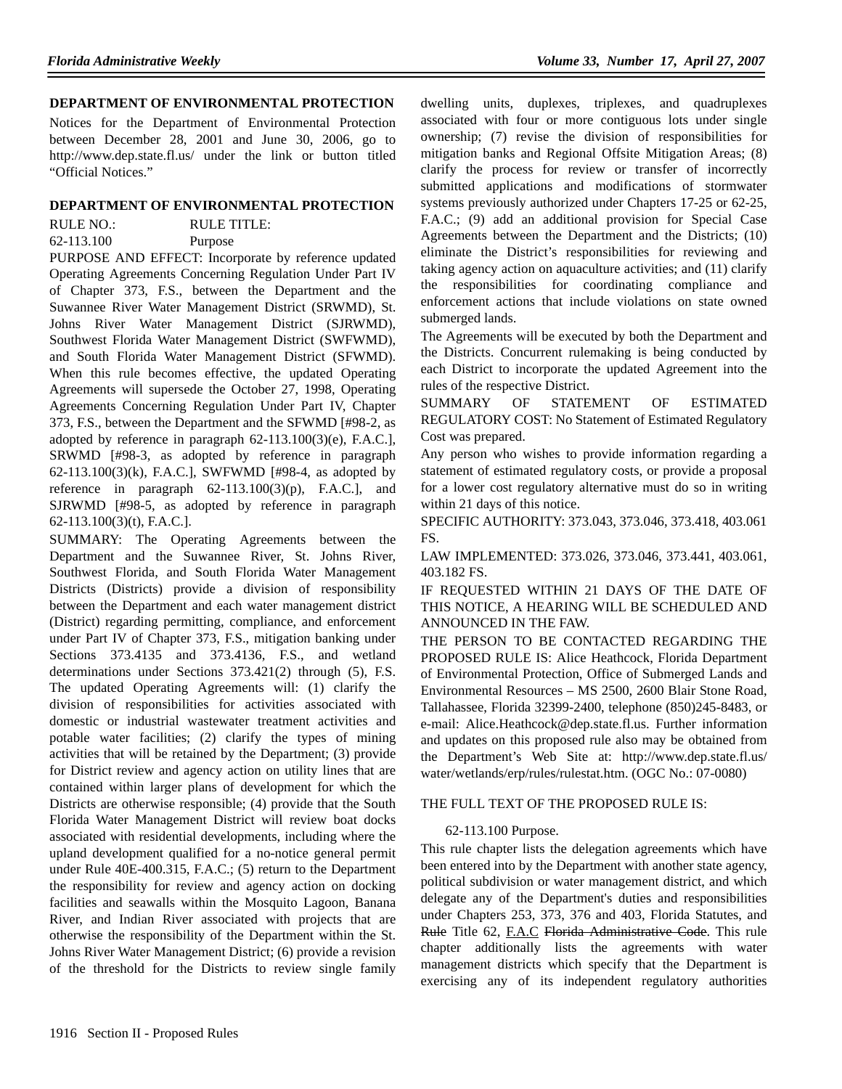#### **DEPARTMENT OF ENVIRONMENTAL PROTECTION**

Notices for the Department of Environmental Protection between December 28, 2001 and June 30, 2006, go to http://www.dep.state.fl.us/ under the link or button titled "Official Notices."

#### **DEPARTMENT OF ENVIRONMENTAL PROTECTION**

RULE NO.: RULE TITLE:

62-113.100 Purpose

PURPOSE AND EFFECT: Incorporate by reference updated Operating Agreements Concerning Regulation Under Part IV of Chapter 373, F.S., between the Department and the Suwannee River Water Management District (SRWMD), St. Johns River Water Management District (SJRWMD), Southwest Florida Water Management District (SWFWMD), and South Florida Water Management District (SFWMD). When this rule becomes effective, the updated Operating Agreements will supersede the October 27, 1998, Operating Agreements Concerning Regulation Under Part IV, Chapter 373, F.S., between the Department and the SFWMD [#98-2, as adopted by reference in paragraph  $62-113.100(3)$ (e), F.A.C.], SRWMD [#98-3, as adopted by reference in paragraph 62-113.100(3)(k), F.A.C.], SWFWMD [#98-4, as adopted by reference in paragraph  $62-113.100(3)(p)$ , F.A.C.], and SJRWMD [#98-5, as adopted by reference in paragraph 62-113.100(3)(t), F.A.C.].

SUMMARY: The Operating Agreements between the Department and the Suwannee River, St. Johns River, Southwest Florida, and South Florida Water Management Districts (Districts) provide a division of responsibility between the Department and each water management district (District) regarding permitting, compliance, and enforcement under Part IV of Chapter 373, F.S., mitigation banking under Sections 373.4135 and 373.4136, F.S., and wetland determinations under Sections 373.421(2) through (5), F.S. The updated Operating Agreements will: (1) clarify the division of responsibilities for activities associated with domestic or industrial wastewater treatment activities and potable water facilities; (2) clarify the types of mining activities that will be retained by the Department; (3) provide for District review and agency action on utility lines that are contained within larger plans of development for which the Districts are otherwise responsible; (4) provide that the South Florida Water Management District will review boat docks associated with residential developments, including where the upland development qualified for a no-notice general permit under Rule 40E-400.315, F.A.C.; (5) return to the Department the responsibility for review and agency action on docking facilities and seawalls within the Mosquito Lagoon, Banana River, and Indian River associated with projects that are otherwise the responsibility of the Department within the St. Johns River Water Management District; (6) provide a revision of the threshold for the Districts to review single family

dwelling units, duplexes, triplexes, and quadruplexes associated with four or more contiguous lots under single ownership; (7) revise the division of responsibilities for mitigation banks and Regional Offsite Mitigation Areas; (8) clarify the process for review or transfer of incorrectly submitted applications and modifications of stormwater systems previously authorized under Chapters 17-25 or 62-25, F.A.C.; (9) add an additional provision for Special Case Agreements between the Department and the Districts; (10) eliminate the District's responsibilities for reviewing and taking agency action on aquaculture activities; and (11) clarify the responsibilities for coordinating compliance and enforcement actions that include violations on state owned submerged lands.

The Agreements will be executed by both the Department and the Districts. Concurrent rulemaking is being conducted by each District to incorporate the updated Agreement into the rules of the respective District.

SUMMARY OF STATEMENT OF ESTIMATED REGULATORY COST: No Statement of Estimated Regulatory Cost was prepared.

Any person who wishes to provide information regarding a statement of estimated regulatory costs, or provide a proposal for a lower cost regulatory alternative must do so in writing within 21 days of this notice.

SPECIFIC AUTHORITY: 373.043, 373.046, 373.418, 403.061 FS.

LAW IMPLEMENTED: 373.026, 373.046, 373.441, 403.061, 403.182 FS.

IF REQUESTED WITHIN 21 DAYS OF THE DATE OF THIS NOTICE, A HEARING WILL BE SCHEDULED AND ANNOUNCED IN THE FAW.

THE PERSON TO BE CONTACTED REGARDING THE PROPOSED RULE IS: Alice Heathcock, Florida Department of Environmental Protection, Office of Submerged Lands and Environmental Resources – MS 2500, 2600 Blair Stone Road, Tallahassee, Florida 32399-2400, telephone (850)245-8483, or e-mail: Alice.Heathcock@dep.state.fl.us. Further information and updates on this proposed rule also may be obtained from the Department's Web Site at: http://www.dep.state.fl.us/ water/wetlands/erp/rules/rulestat.htm. (OGC No.: 07-0080)

## THE FULL TEXT OF THE PROPOSED RULE IS:

## 62-113.100 Purpose.

This rule chapter lists the delegation agreements which have been entered into by the Department with another state agency, political subdivision or water management district, and which delegate any of the Department's duties and responsibilities under Chapters 253, 373, 376 and 403, Florida Statutes, and Rule Title 62, F.A.C Florida Administrative Code. This rule chapter additionally lists the agreements with water management districts which specify that the Department is exercising any of its independent regulatory authorities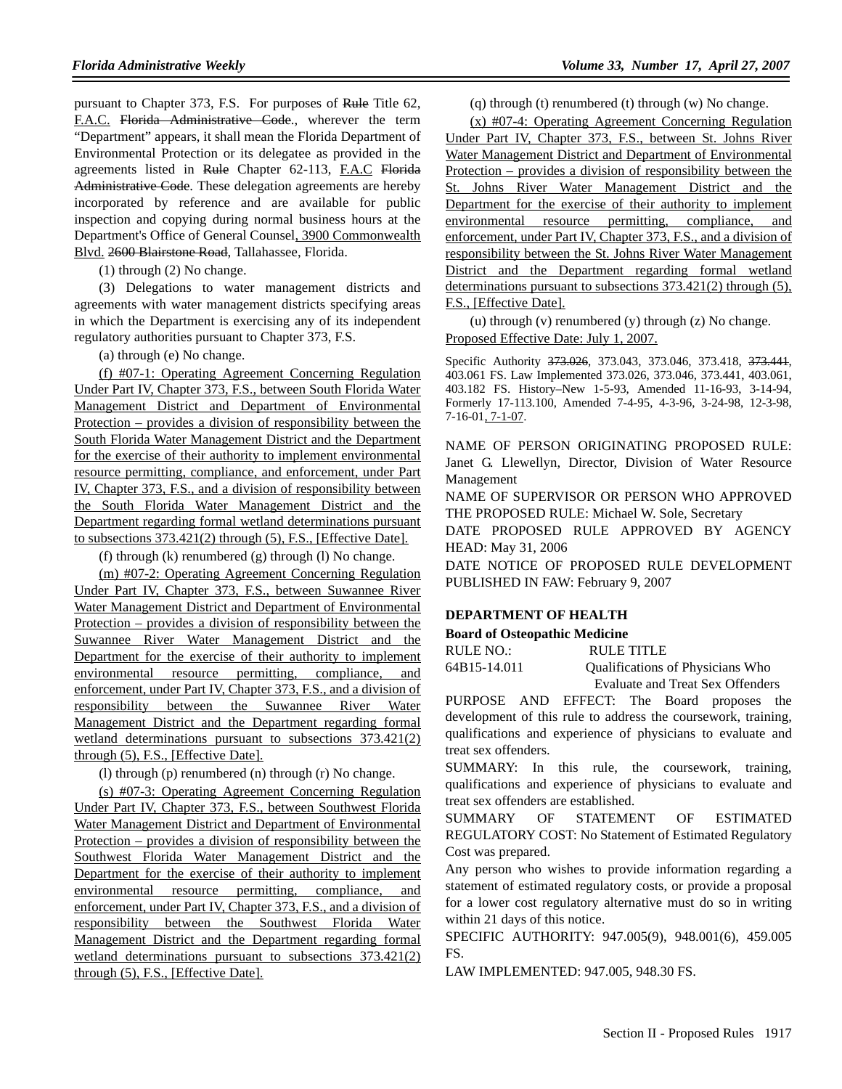pursuant to Chapter 373, F.S. For purposes of Rule Title 62, F.A.C. Florida Administrative Code., wherever the term "Department" appears, it shall mean the Florida Department of Environmental Protection or its delegatee as provided in the agreements listed in Rule Chapter 62-113, F.A.C Florida Administrative Code. These delegation agreements are hereby incorporated by reference and are available for public inspection and copying during normal business hours at the Department's Office of General Counsel, 3900 Commonwealth Blvd. 2600 Blairstone Road, Tallahassee, Florida.

(1) through (2) No change.

(3) Delegations to water management districts and agreements with water management districts specifying areas in which the Department is exercising any of its independent regulatory authorities pursuant to Chapter 373, F.S.

(a) through (e) No change.

(f) #07-1: Operating Agreement Concerning Regulation Under Part IV, Chapter 373, F.S., between South Florida Water Management District and Department of Environmental Protection – provides a division of responsibility between the South Florida Water Management District and the Department for the exercise of their authority to implement environmental resource permitting, compliance, and enforcement, under Part IV, Chapter 373, F.S., and a division of responsibility between the South Florida Water Management District and the Department regarding formal wetland determinations pursuant to subsections 373.421(2) through (5), F.S., [Effective Date].

(f) through (k) renumbered (g) through (l) No change.

(m) #07-2: Operating Agreement Concerning Regulation Under Part IV, Chapter 373, F.S., between Suwannee River Water Management District and Department of Environmental Protection – provides a division of responsibility between the Suwannee River Water Management District and the Department for the exercise of their authority to implement environmental resource permitting, compliance, and enforcement, under Part IV, Chapter 373, F.S., and a division of responsibility between the Suwannee River Water Management District and the Department regarding formal wetland determinations pursuant to subsections 373.421(2) through (5), F.S., [Effective Date].

(l) through (p) renumbered (n) through (r) No change.

(s) #07-3: Operating Agreement Concerning Regulation Under Part IV, Chapter 373, F.S., between Southwest Florida Water Management District and Department of Environmental Protection – provides a division of responsibility between the Southwest Florida Water Management District and the Department for the exercise of their authority to implement environmental resource permitting, compliance, and enforcement, under Part IV, Chapter 373, F.S., and a division of responsibility between the Southwest Florida Water Management District and the Department regarding formal wetland determinations pursuant to subsections 373.421(2) through (5), F.S., [Effective Date].

(q) through (t) renumbered (t) through (w) No change.

(x) #07-4: Operating Agreement Concerning Regulation Under Part IV, Chapter 373, F.S., between St. Johns River Water Management District and Department of Environmental Protection – provides a division of responsibility between the St. Johns River Water Management District and the Department for the exercise of their authority to implement environmental resource permitting, compliance, and enforcement, under Part IV, Chapter 373, F.S., and a division of responsibility between the St. Johns River Water Management District and the Department regarding formal wetland determinations pursuant to subsections 373.421(2) through (5), F.S., [Effective Date].

(u) through (v) renumbered (y) through (z) No change. Proposed Effective Date: July 1, 2007.

Specific Authority 373.026, 373.043, 373.046, 373.418, 373.444, 403.061 FS. Law Implemented 373.026, 373.046, 373.441, 403.061, 403.182 FS. History–New 1-5-93, Amended 11-16-93, 3-14-94, Formerly 17-113.100, Amended 7-4-95, 4-3-96, 3-24-98, 12-3-98, 7-16-01, 7-1-07.

NAME OF PERSON ORIGINATING PROPOSED RULE: Janet G. Llewellyn, Director, Division of Water Resource Management

NAME OF SUPERVISOR OR PERSON WHO APPROVED THE PROPOSED RULE: Michael W. Sole, Secretary

DATE PROPOSED RULE APPROVED BY AGENCY HEAD: May 31, 2006

DATE NOTICE OF PROPOSED RULE DEVELOPMENT PUBLISHED IN FAW: February 9, 2007

## **DEPARTMENT OF HEALTH**

#### **Board of Osteopathic Medicine**

| RULE NO.:    | RULE TITLE                       |
|--------------|----------------------------------|
| 64B15-14.011 | Qualifications of Physicians Who |
|              | Evaluate and Treat Sex Offenders |

PURPOSE AND EFFECT: The Board proposes the development of this rule to address the coursework, training, qualifications and experience of physicians to evaluate and treat sex offenders.

SUMMARY: In this rule, the coursework, training, qualifications and experience of physicians to evaluate and treat sex offenders are established.

SUMMARY OF STATEMENT OF ESTIMATED REGULATORY COST: No Statement of Estimated Regulatory Cost was prepared.

Any person who wishes to provide information regarding a statement of estimated regulatory costs, or provide a proposal for a lower cost regulatory alternative must do so in writing within 21 days of this notice.

SPECIFIC AUTHORITY: 947.005(9), 948.001(6), 459.005 FS.

LAW IMPLEMENTED: 947.005, 948.30 FS.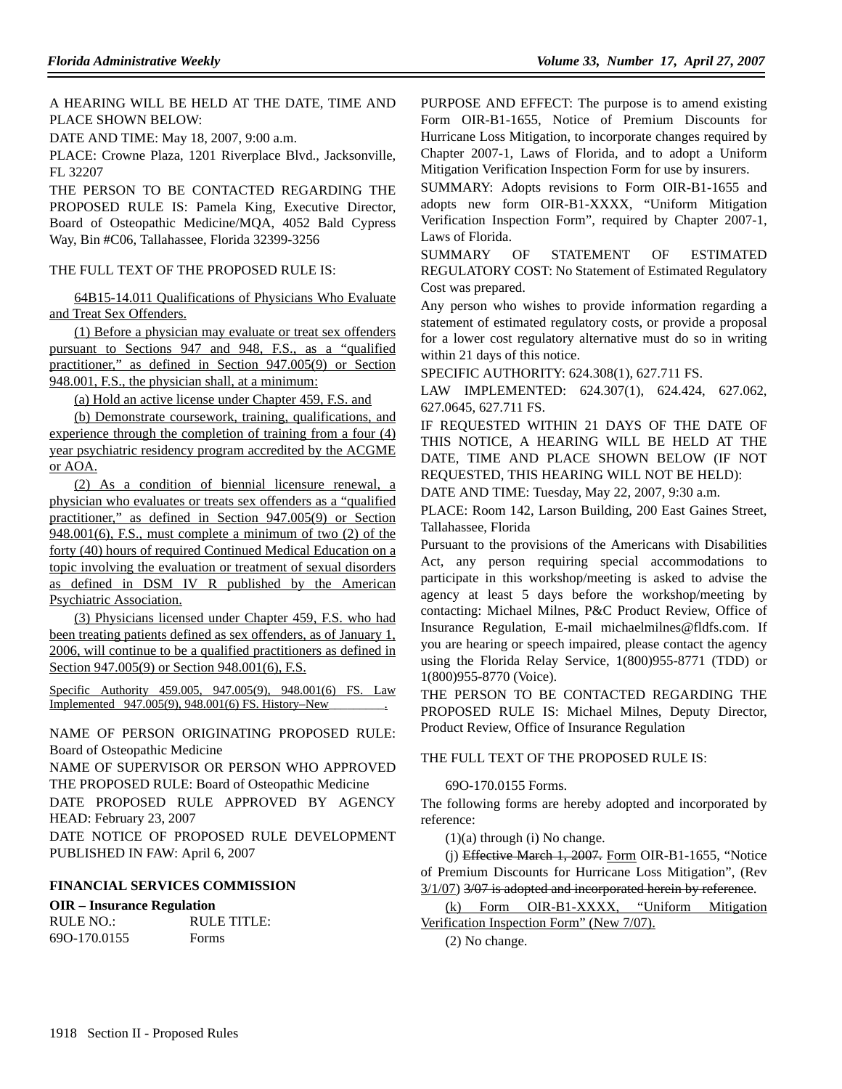A HEARING WILL BE HELD AT THE DATE, TIME AND PLACE SHOWN BELOW:

DATE AND TIME: May 18, 2007, 9:00 a.m.

PLACE: Crowne Plaza, 1201 Riverplace Blvd., Jacksonville, FL 32207

THE PERSON TO BE CONTACTED REGARDING THE PROPOSED RULE IS: Pamela King, Executive Director, Board of Osteopathic Medicine/MQA, 4052 Bald Cypress Way, Bin #C06, Tallahassee, Florida 32399-3256

THE FULL TEXT OF THE PROPOSED RULE IS:

64B15-14.011 Qualifications of Physicians Who Evaluate and Treat Sex Offenders.

(1) Before a physician may evaluate or treat sex offenders pursuant to Sections 947 and 948, F.S., as a "qualified practitioner," as defined in Section 947.005(9) or Section 948.001, F.S., the physician shall, at a minimum:

(a) Hold an active license under Chapter 459, F.S. and

(b) Demonstrate coursework, training, qualifications, and experience through the completion of training from a four (4) year psychiatric residency program accredited by the ACGME or AOA.

(2) As a condition of biennial licensure renewal, a physician who evaluates or treats sex offenders as a "qualified practitioner," as defined in Section 947.005(9) or Section 948.001(6), F.S., must complete a minimum of two (2) of the forty (40) hours of required Continued Medical Education on a topic involving the evaluation or treatment of sexual disorders as defined in DSM IV R published by the American Psychiatric Association.

(3) Physicians licensed under Chapter 459, F.S. who had been treating patients defined as sex offenders, as of January 1, 2006, will continue to be a qualified practitioners as defined in Section 947.005(9) or Section 948.001(6), F.S.

Specific Authority 459.005, 947.005(9), 948.001(6) FS. Law Implemented 947.005(9), 948.001(6) FS. History–New\_

NAME OF PERSON ORIGINATING PROPOSED RULE: Board of Osteopathic Medicine

NAME OF SUPERVISOR OR PERSON WHO APPROVED THE PROPOSED RULE: Board of Osteopathic Medicine

DATE PROPOSED RULE APPROVED BY AGENCY HEAD: February 23, 2007

DATE NOTICE OF PROPOSED RULE DEVELOPMENT PUBLISHED IN FAW: April 6, 2007

## **FINANCIAL SERVICES COMMISSION**

**OIR – Insurance Regulation**

| RULE NO.:    | RULE TITLE: |
|--------------|-------------|
| 690-170.0155 | Forms       |

PURPOSE AND EFFECT: The purpose is to amend existing Form OIR-B1-1655, Notice of Premium Discounts for Hurricane Loss Mitigation, to incorporate changes required by Chapter 2007-1, Laws of Florida, and to adopt a Uniform Mitigation Verification Inspection Form for use by insurers.

SUMMARY: Adopts revisions to Form OIR-B1-1655 and adopts new form OIR-B1-XXXX, "Uniform Mitigation Verification Inspection Form", required by Chapter 2007-1, Laws of Florida.

SUMMARY OF STATEMENT OF ESTIMATED REGULATORY COST: No Statement of Estimated Regulatory Cost was prepared.

Any person who wishes to provide information regarding a statement of estimated regulatory costs, or provide a proposal for a lower cost regulatory alternative must do so in writing within 21 days of this notice.

SPECIFIC AUTHORITY: 624.308(1), 627.711 FS.

LAW IMPLEMENTED: 624.307(1), 624.424, 627.062, 627.0645, 627.711 FS.

IF REQUESTED WITHIN 21 DAYS OF THE DATE OF THIS NOTICE, A HEARING WILL BE HELD AT THE DATE, TIME AND PLACE SHOWN BELOW (IF NOT REQUESTED, THIS HEARING WILL NOT BE HELD):

DATE AND TIME: Tuesday, May 22, 2007, 9:30 a.m.

PLACE: Room 142, Larson Building, 200 East Gaines Street, Tallahassee, Florida

Pursuant to the provisions of the Americans with Disabilities Act, any person requiring special accommodations to participate in this workshop/meeting is asked to advise the agency at least 5 days before the workshop/meeting by contacting: Michael Milnes, P&C Product Review, Office of Insurance Regulation, E-mail michaelmilnes@fldfs.com. If you are hearing or speech impaired, please contact the agency using the Florida Relay Service, 1(800)955-8771 (TDD) or 1(800)955-8770 (Voice).

THE PERSON TO BE CONTACTED REGARDING THE PROPOSED RULE IS: Michael Milnes, Deputy Director, Product Review, Office of Insurance Regulation

## THE FULL TEXT OF THE PROPOSED RULE IS:

## 69O-170.0155 Forms.

The following forms are hereby adopted and incorporated by reference:

(1)(a) through (i) No change.

(j) Effective March 1, 2007. Form OIR-B1-1655, "Notice of Premium Discounts for Hurricane Loss Mitigation", (Rev 3/1/07) 3/07 is adopted and incorporated herein by reference.

(k) Form OIR-B1-XXXX, "Uniform Mitigation Verification Inspection Form" (New 7/07).

(2) No change.